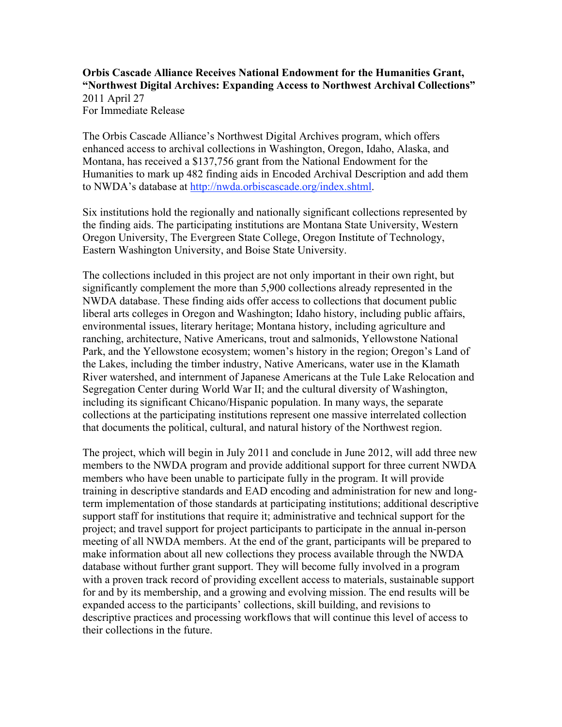## **Orbis Cascade Alliance Receives National Endowment for the Humanities Grant, "Northwest Digital Archives: Expanding Access to Northwest Archival Collections"** 2011 April 27 For Immediate Release

The Orbis Cascade Alliance's Northwest Digital Archives program, which offers enhanced access to archival collections in Washington, Oregon, Idaho, Alaska, and Montana, has received a \$137,756 grant from the National Endowment for the Humanities to mark up 482 finding aids in Encoded Archival Description and add them to NWDA's database at http://nwda.orbiscascade.org/index.shtml.

Six institutions hold the regionally and nationally significant collections represented by the finding aids. The participating institutions are Montana State University, Western Oregon University, The Evergreen State College, Oregon Institute of Technology, Eastern Washington University, and Boise State University.

The collections included in this project are not only important in their own right, but significantly complement the more than 5,900 collections already represented in the NWDA database. These finding aids offer access to collections that document public liberal arts colleges in Oregon and Washington; Idaho history, including public affairs, environmental issues, literary heritage; Montana history, including agriculture and ranching, architecture, Native Americans, trout and salmonids, Yellowstone National Park, and the Yellowstone ecosystem; women's history in the region; Oregon's Land of the Lakes, including the timber industry, Native Americans, water use in the Klamath River watershed, and internment of Japanese Americans at the Tule Lake Relocation and Segregation Center during World War II; and the cultural diversity of Washington, including its significant Chicano/Hispanic population. In many ways, the separate collections at the participating institutions represent one massive interrelated collection that documents the political, cultural, and natural history of the Northwest region.

The project, which will begin in July 2011 and conclude in June 2012, will add three new members to the NWDA program and provide additional support for three current NWDA members who have been unable to participate fully in the program. It will provide training in descriptive standards and EAD encoding and administration for new and longterm implementation of those standards at participating institutions; additional descriptive support staff for institutions that require it; administrative and technical support for the project; and travel support for project participants to participate in the annual in-person meeting of all NWDA members. At the end of the grant, participants will be prepared to make information about all new collections they process available through the NWDA database without further grant support. They will become fully involved in a program with a proven track record of providing excellent access to materials, sustainable support for and by its membership, and a growing and evolving mission. The end results will be expanded access to the participants' collections, skill building, and revisions to descriptive practices and processing workflows that will continue this level of access to their collections in the future.